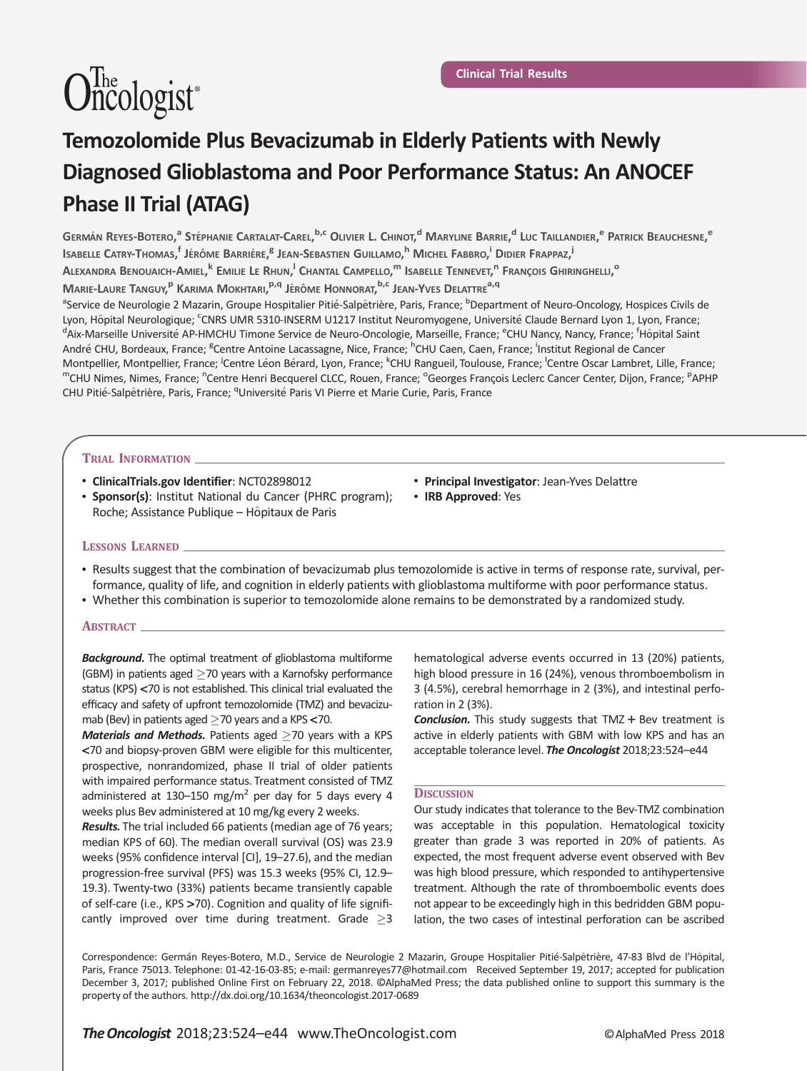# $\widehat{\text{One}}$ ologist<sup>®</sup>

# Temozolomide Plus Bevacizumab in Elderly Patients with Newly Diagnosed Glioblastoma and Poor Performance Status: An ANOCEF Phase II Trial (ATAG)

Germán Reyes-Botero,<sup>a</sup> Stéphanie Cartalat-Carel,<sup>b,c</sup> Olivier L. Chinot,<sup>d</sup> Maryline Barrie,<sup>d</sup> Luc Taillandier,<sup>e</sup> Patrick Beauchesne,<sup>e</sup> Isabelle Catry-Thomas,<sup>f</sup> Jérôme Barrière,<sup>b</sup> Jean-Sebastien Guillamo,<sup>h</sup> Michel Fabbro,<sup>i</sup> Didier Frappaz,<sup>j</sup>

Alexandra Benouaich-Amiel,<sup>k</sup> Emilie Le Rhun,<sup>i</sup> Chantal Campello,<sup>m</sup> Isabelle Tennevet,<sup>n</sup> François Ghiringhelli,<sup>o</sup>

Marie-Laure Tanguy,<sup>p</sup> Karima Mokhtari,<sup>p,q</sup> Jérôme Honnorat,<sup>b,c</sup> Jean-Yves Delattre<sup>a,q</sup>

<sup>a</sup>Service de Neurologie 2 Mazarin, Groupe Hospitalier Pitié-Salpêtrière, Paris, France; <sup>b</sup>Department of Neuro-Oncology, Hospices Civils de Lyon, Hôpital Neurologique; <sup>c</sup>CNRS UMR 5310-INSERM U1217 Institut Neuromyogene, Université Claude Bernard Lyon 1, Lyon, France;<br><sup>d</sup>Aix Marseille Université AB HMCHU Timone Senvice de Neuro Opselegie, Marseille, France: <sup>6</sup> Aix-Marseille Université AP-HMCHU Timone Service de Neuro-Oncologie, Marseille, France; <sup>e</sup>CHU Nancy, Nancy, France; <sup>f</sup>Hôpital Saint André CHU, Bordeaux, France; <sup>g</sup>Centre Antoine Lacassagne, Nice, France; <sup>h</sup>CHU Caen, Caen, France; <sup>i</sup>Institut Regional de Cancer Montpellier, Montpellier, France; <sup>j</sup>Centre Léon Bérard, Lyon, France; <sup>k</sup>CHU Rangueil, Toulouse, France; <sup>'</sup>Centre Oscar Lambret, Lille, France;<br><sup>m</sup>CHU Nimes, Nimes, France; <sup>n</sup>Centre Henri Becquerel CLCC, Rouen, France; Centre Henri Becquerel CLCC, Rouen, France; <sup>o</sup>Georges François Leclerc Cancer Center, Dijon, France; <sup>p</sup>APHP CHU Pitié-Salpêtrière, Paris, France; <sup>q</sup>Université Paris VI Pierre et Marie Curie, Paris, France

### TRIAL INFORMATION

- ClinicalTrials.gov Identifier: [NCT02898012](https://clinicaltrials.gov/ct2/show/NCT02898012)
- Sponsor(s): Institut National du Cancer (PHRC program); Roche; Assistance Publique – Hôpitaux de Paris
- Principal Investigator: Jean-Yves Delattre
- IRB Approved: Yes

#### LESSONS LEARNED

- Results suggest that the combination of bevacizumab plus temozolomide is active in terms of response rate, survival, performance, quality of life, and cognition in elderly patients with glioblastoma multiforme with poor performance status.
- Whether this combination is superior to temozolomide alone remains to be demonstrated by a randomized study.

#### ABSTRACT

**Background.** The optimal treatment of glioblastoma multiforme (GBM) in patients aged  $\geq$  70 years with a Karnofsky performance status (KPS) <70 is not established. This clinical trial evaluated the efficacy and safety of upfront temozolomide (TMZ) and bevacizumab (Bev) in patients aged  $\geq$  70 years and a KPS < 70.

Materials and Methods. Patients aged  $\geq$ 70 years with a KPS <70 and biopsy-proven GBM were eligible for this multicenter, prospective, nonrandomized, phase II trial of older patients with impaired performance status. Treatment consisted of TMZ administered at 130–150 mg/m<sup>2</sup> per day for 5 days every 4 weeks plus Bev administered at 10 mg/kg every 2 weeks.

Results. The trial included 66 patients (median age of 76 years; median KPS of 60). The median overall survival (OS) was 23.9 weeks (95% confidence interval [CI], 19–27.6), and the median progression-free survival (PFS) was 15.3 weeks (95% CI, 12.9– 19.3). Twenty-two (33%) patients became transiently capable of self-care (i.e., KPS >70). Cognition and quality of life significantly improved over time during treatment. Grade  $\geq$ 3

hematological adverse events occurred in 13 (20%) patients, high blood pressure in 16 (24%), venous thromboembolism in 3 (4.5%), cerebral hemorrhage in 2 (3%), and intestinal perforation in 2 (3%).

Conclusion. This study suggests that TMZ + Bev treatment is active in elderly patients with GBM with low KPS and has an acceptable tolerance level. The Oncologist 2018;23:524-e44

#### **DISCUSSION**

Our study indicates that tolerance to the Bev-TMZ combination was acceptable in this population. Hematological toxicity greater than grade 3 was reported in 20% of patients. As expected, the most frequent adverse event observed with Bev was high blood pressure, which responded to antihypertensive treatment. Although the rate of thromboembolic events does not appear to be exceedingly high in this bedridden GBM population, the two cases of intestinal perforation can be ascribed

Correspondence: Germán Reyes-Botero, M.D., Service de Neurologie 2 Mazarin, Groupe Hospitalier Pitié-Salpêtrière, 47-83 Blvd de l'Hôpital, Paris, France 75013. Telephone: 01-42-16-03-85; e-mail: germanreyes77@hotmail.com Received September 19, 2017; accepted for publication December 3, 2017; published Online First on February 22, 2018. ©AlphaMed Press; the data published online to support this summary is the property of the authors. http://dx.doi.org/10.1634/theoncologist.2017-0689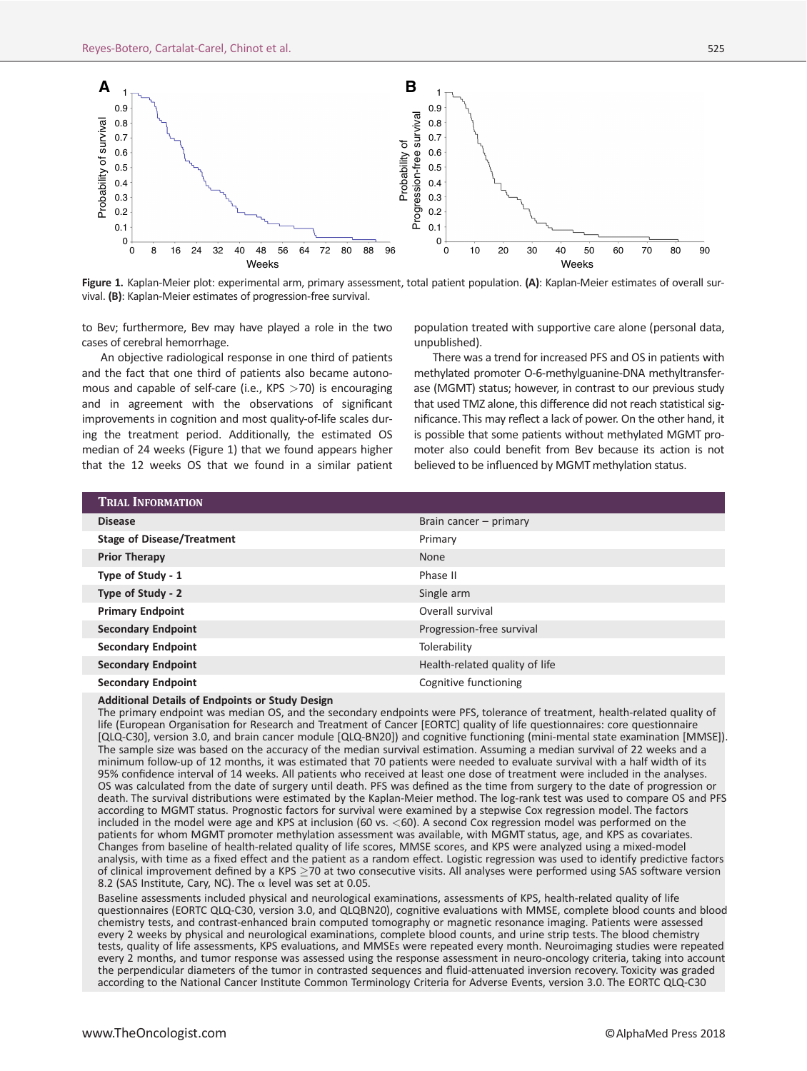

Figure 1. Kaplan-Meier plot: experimental arm, primary assessment, total patient population. (A): Kaplan-Meier estimates of overall survival. (B): Kaplan-Meier estimates of progression-free survival.

to Bev; furthermore, Bev may have played a role in the two cases of cerebral hemorrhage.

An objective radiological response in one third of patients and the fact that one third of patients also became autonomous and capable of self-care (i.e., KPS  $>$ 70) is encouraging and in agreement with the observations of significant improvements in cognition and most quality-of-life scales during the treatment period. Additionally, the estimated OS median of 24 weeks (Figure 1) that we found appears higher that the 12 weeks OS that we found in a similar patient population treated with supportive care alone (personal data, unpublished).

There was a trend for increased PFS and OS in patients with methylated promoter O-6-methylguanine-DNA methyltransferase (MGMT) status; however, in contrast to our previous study that used TMZ alone, this difference did not reach statistical significance. This may reflect a lack of power. On the other hand, it is possible that some patients without methylated MGMT promoter also could benefit from Bev because its action is not believed to be influenced by MGMT methylation status.

| <b>TRIAL INFORMATION</b>          |                                |
|-----------------------------------|--------------------------------|
| <b>Disease</b>                    | Brain cancer - primary         |
| <b>Stage of Disease/Treatment</b> | Primary                        |
| <b>Prior Therapy</b>              | <b>None</b>                    |
| Type of Study - 1                 | Phase II                       |
| Type of Study - 2                 | Single arm                     |
| <b>Primary Endpoint</b>           | Overall survival               |
| <b>Secondary Endpoint</b>         | Progression-free survival      |
| <b>Secondary Endpoint</b>         | Tolerability                   |
| <b>Secondary Endpoint</b>         | Health-related quality of life |
| <b>Secondary Endpoint</b>         | Cognitive functioning          |

Additional Details of Endpoints or Study Design

The primary endpoint was median OS, and the secondary endpoints were PFS, tolerance of treatment, health-related quality of life (European Organisation for Research and Treatment of Cancer [EORTC] quality of life questionnaires: core questionnaire [QLQ-C30], version 3.0, and brain cancer module [QLQ-BN20]) and cognitive functioning (mini-mental state examination [MMSE]). The sample size was based on the accuracy of the median survival estimation. Assuming a median survival of 22 weeks and a minimum follow-up of 12 months, it was estimated that 70 patients were needed to evaluate survival with a half width of its 95% confidence interval of 14 weeks. All patients who received at least one dose of treatment were included in the analyses. OS was calculated from the date of surgery until death. PFS was defined as the time from surgery to the date of progression or death. The survival distributions were estimated by the Kaplan-Meier method. The log-rank test was used to compare OS and PFS according to MGMT status. Prognostic factors for survival were examined by a stepwise Cox regression model. The factors included in the model were age and KPS at inclusion (60 vs. <60). A second Cox regression model was performed on the patients for whom MGMT promoter methylation assessment was available, with MGMT status, age, and KPS as covariates. Changes from baseline of health-related quality of life scores, MMSE scores, and KPS were analyzed using a mixed-model analysis, with time as a fixed effect and the patient as a random effect. Logistic regression was used to identify predictive factors of clinical improvement defined by a KPS  $\geq$ 70 at two consecutive visits. All analyses were performed using SAS software version 8.2 (SAS Institute, Cary, NC). The  $\alpha$  level was set at 0.05.

Baseline assessments included physical and neurological examinations, assessments of KPS, health-related quality of life questionnaires (EORTC QLQ-C30, version 3.0, and QLQBN20), cognitive evaluations with MMSE, complete blood counts and blood chemistry tests, and contrast-enhanced brain computed tomography or magnetic resonance imaging. Patients were assessed every 2 weeks by physical and neurological examinations, complete blood counts, and urine strip tests. The blood chemistry tests, quality of life assessments, KPS evaluations, and MMSEs were repeated every month. Neuroimaging studies were repeated every 2 months, and tumor response was assessed using the response assessment in neuro-oncology criteria, taking into account the perpendicular diameters of the tumor in contrasted sequences and fluid-attenuated inversion recovery. Toxicity was graded according to the National Cancer Institute Common Terminology Criteria for Adverse Events, version 3.0. The EORTC QLQ-C30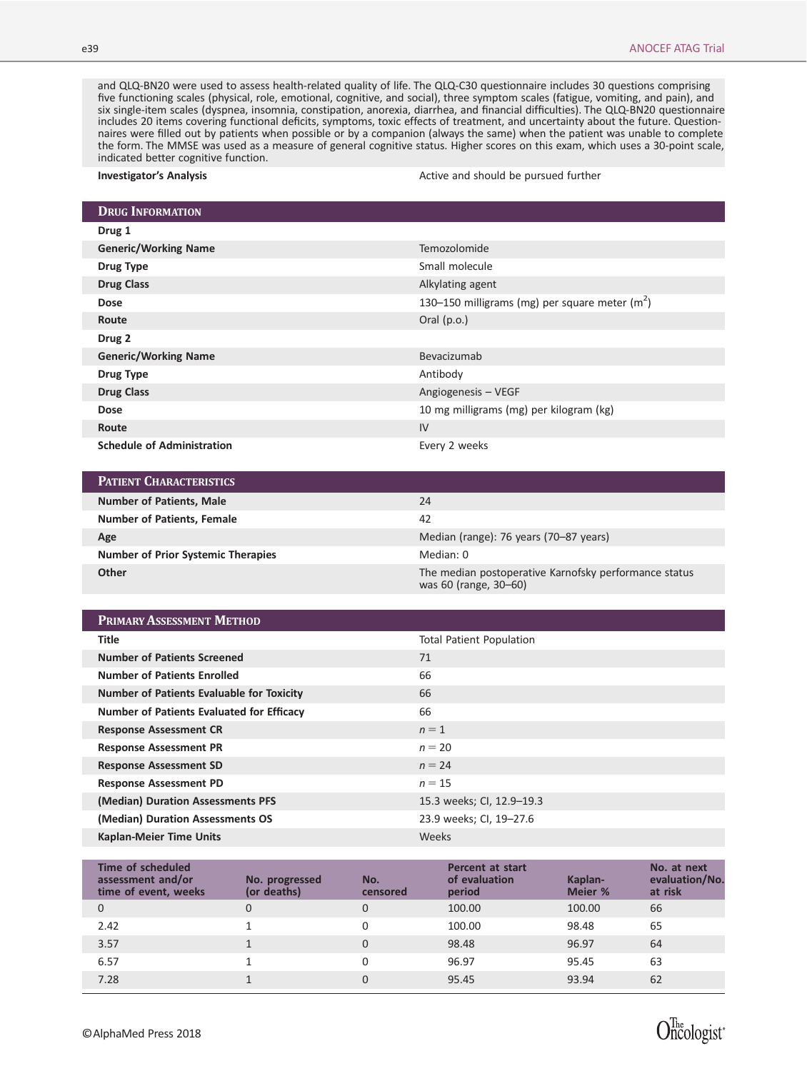Oncologist\*

and QLQ-BN20 were used to assess health-related quality of life. The QLQ-C30 questionnaire includes 30 questions comprising five functioning scales (physical, role, emotional, cognitive, and social), three symptom scales (fatigue, vomiting, and pain), and six single-item scales (dyspnea, insomnia, constipation, anorexia, diarrhea, and financial difficulties). The QLQ-BN20 questionnaire includes 20 items covering functional deficits, symptoms, toxic effects of treatment, and uncertainty about the future. Questionnaires were filled out by patients when possible or by a companion (always the same) when the patient was unable to complete the form. The MMSE was used as a measure of general cognitive status. Higher scores on this exam, which uses a 30-point scale, indicated better cognitive function.

Investigator's Analysis **Active and should be pursued further** and should be pursued further

| <b>DRUG INFORMATION</b>           |                                                 |
|-----------------------------------|-------------------------------------------------|
| Drug 1                            |                                                 |
| <b>Generic/Working Name</b>       | <b>Temozolomide</b>                             |
| Drug Type                         | Small molecule                                  |
| <b>Drug Class</b>                 | Alkylating agent                                |
| <b>Dose</b>                       | 130–150 milligrams (mg) per square meter $(m2)$ |
| Route                             | Oral $(p.o.)$                                   |
| Drug 2                            |                                                 |
| <b>Generic/Working Name</b>       | Bevacizumab                                     |
| Drug Type                         | Antibody                                        |
| <b>Drug Class</b>                 | Angiogenesis - VEGF                             |
| <b>Dose</b>                       | 10 mg milligrams (mg) per kilogram (kg)         |
| Route                             | IV                                              |
| <b>Schedule of Administration</b> | Every 2 weeks                                   |

| <b>PATIENT CHARACTERISTICS</b>            |                                                                                |
|-------------------------------------------|--------------------------------------------------------------------------------|
| <b>Number of Patients, Male</b>           | 24                                                                             |
| <b>Number of Patients, Female</b>         | 42                                                                             |
| Age                                       | Median (range): 76 years (70–87 years)                                         |
| <b>Number of Prior Systemic Therapies</b> | Median: 0                                                                      |
| Other                                     | The median postoperative Karnofsky performance status<br>was 60 (range, 30-60) |

| <b>PRIMARY ASSESSMENT METHOD</b>                 |                                 |
|--------------------------------------------------|---------------------------------|
| <b>Title</b>                                     | <b>Total Patient Population</b> |
| <b>Number of Patients Screened</b>               | 71                              |
| <b>Number of Patients Enrolled</b>               | 66                              |
| <b>Number of Patients Evaluable for Toxicity</b> | 66                              |
| Number of Patients Evaluated for Efficacy        | 66                              |
| <b>Response Assessment CR</b>                    | $n=1$                           |
| <b>Response Assessment PR</b>                    | $n = 20$                        |
| <b>Response Assessment SD</b>                    | $n = 24$                        |
| <b>Response Assessment PD</b>                    | $n = 15$                        |
| (Median) Duration Assessments PFS                | 15.3 weeks; CI, 12.9-19.3       |
| (Median) Duration Assessments OS                 | 23.9 weeks; Cl, 19-27.6         |
| <b>Kaplan-Meier Time Units</b>                   | Weeks                           |

| Time of scheduled<br>assessment and/or<br>time of event, weeks | No. progressed<br>(or deaths) | No.<br>censored | <b>Percent at start</b><br>of evaluation<br>period | Kaplan-<br>Meier % | No. at next<br>evaluation/No.<br>at risk |
|----------------------------------------------------------------|-------------------------------|-----------------|----------------------------------------------------|--------------------|------------------------------------------|
| $\Omega$                                                       |                               | 0               | 100.00                                             | 100.00             | 66                                       |
| 2.42                                                           |                               | 0               | 100.00                                             | 98.48              | 65                                       |
| 3.57                                                           |                               | $\Omega$        | 98.48                                              | 96.97              | 64                                       |
| 6.57                                                           |                               | 0               | 96.97                                              | 95.45              | 63                                       |
| 7.28                                                           |                               | 0               | 95.45                                              | 93.94              | 62                                       |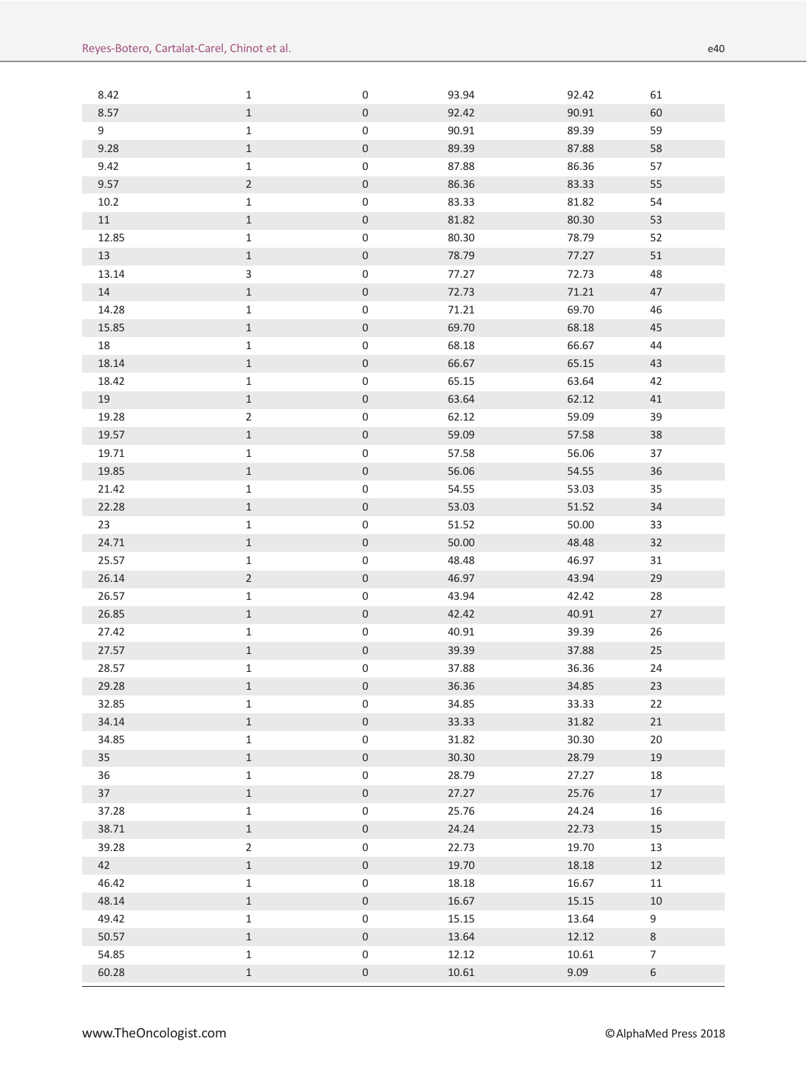| 8.42  | 1              | $\mathsf 0$                                | 93.94 | 92.42 | 61             |
|-------|----------------|--------------------------------------------|-------|-------|----------------|
| 8.57  | $\mathbf{1}$   | $\mathsf{O}\xspace$                        | 92.42 | 90.91 | 60             |
| 9     | $\mathbf{1}$   | 0                                          | 90.91 | 89.39 | 59             |
| 9.28  | $\mathbf{1}$   | $\mathsf{O}\xspace$                        | 89.39 | 87.88 | 58             |
| 9.42  | $\mathbf{1}$   | $\mathsf{O}\xspace$                        | 87.88 | 86.36 | 57             |
| 9.57  | $\overline{2}$ | $\mathsf{O}\xspace$                        | 86.36 | 83.33 | 55             |
| 10.2  | $\mathbf{1}$   | $\pmb{0}$                                  | 83.33 | 81.82 | 54             |
| 11    | $\mathbf{1}$   | $\mathsf{O}\xspace$                        | 81.82 | 80.30 | 53             |
| 12.85 | $\mathbf 1$    | $\pmb{0}$                                  | 80.30 | 78.79 | 52             |
| 13    | $\mathbf{1}$   | $\mathsf{O}\xspace$                        | 78.79 | 77.27 | 51             |
| 13.14 | $\mathbf{3}$   | $\mathsf{O}\xspace$                        | 77.27 | 72.73 | 48             |
| 14    | $\,1$          | $\mathsf{O}\xspace$                        | 72.73 | 71.21 | 47             |
| 14.28 | $\mathbf{1}$   | $\mathsf{O}\xspace$                        | 71.21 | 69.70 | 46             |
| 15.85 | $\,1$          | $\mathsf{O}\xspace$                        | 69.70 | 68.18 | 45             |
| 18    | $\,1\,$        | $\mathsf{O}\xspace$                        | 68.18 | 66.67 | 44             |
| 18.14 | $\,1$          | $\mathsf{O}\xspace$                        | 66.67 | 65.15 | 43             |
| 18.42 | $\mathbf{1}$   | 0                                          | 65.15 | 63.64 | 42             |
| 19    | $\mathbf{1}$   | $\mathsf{O}\xspace$                        | 63.64 | 62.12 | 41             |
| 19.28 | $\overline{2}$ | 0                                          | 62.12 | 59.09 | 39             |
| 19.57 | $\,1$          | $\mathsf{O}\xspace$                        | 59.09 | 57.58 | 38             |
| 19.71 | $\mathbf{1}$   | 0                                          | 57.58 | 56.06 | 37             |
| 19.85 | $\,1$          | $\mathsf{O}\xspace$                        | 56.06 | 54.55 | 36             |
| 21.42 | $\mathbf{1}$   | $\pmb{0}$                                  | 54.55 | 53.03 | 35             |
| 22.28 | $\,1$          | $\mathsf{O}\xspace$                        | 53.03 | 51.52 | 34             |
| 23    | $\mathbf 1$    | 0                                          | 51.52 | 50.00 | 33             |
| 24.71 | $1\,$          | $\mathsf{O}\xspace$                        | 50.00 | 48.48 | 32             |
| 25.57 | $\mathbf{1}$   | $\pmb{0}$                                  | 48.48 | 46.97 | 31             |
| 26.14 | $\overline{2}$ | $\mathsf{O}\xspace$                        | 46.97 | 43.94 | 29             |
| 26.57 | $\mathbf{1}$   | 0                                          | 43.94 | 42.42 | 28             |
| 26.85 | $\mathbf{1}$   | $\mathsf{O}\xspace$                        | 42.42 | 40.91 | 27             |
| 27.42 | $\mathbf 1$    | $\pmb{0}$                                  | 40.91 | 39.39 | 26             |
| 27.57 | $\mathbf{1}$   | $\mathsf{O}\xspace$                        | 39.39 | 37.88 | 25             |
| 28.57 | $\mathbf 1$    | $\pmb{0}$                                  | 37.88 | 36.36 | 24             |
| 29.28 | $\mathbf{1}$   | 0                                          | 36.36 | 34.85 | 23             |
| 32.85 | $\mathbf{1}$   | 0                                          | 34.85 | 33.33 | 22             |
| 34.14 | $\,1\,$        | $\mathsf{O}\xspace$                        | 33.33 | 31.82 | 21             |
| 34.85 | $\mathbf 1$    | $\mathsf{O}\xspace$                        | 31.82 | 30.30 | 20             |
| 35    | $\,1$          | $\mathsf{O}\xspace$                        | 30.30 | 28.79 | 19             |
| 36    | $\mathbf{1}$   | $\mathsf{O}\xspace$                        | 28.79 | 27.27 | 18             |
| 37    | $1\,$          | $\mathsf{O}\xspace$                        | 27.27 | 25.76 | 17             |
| 37.28 | $\mathbf 1$    | $\mathsf{O}\xspace$                        | 25.76 | 24.24 | 16             |
| 38.71 | $\mathbf 1$    | $\mathsf{O}\xspace$                        | 24.24 | 22.73 | $15\,$         |
|       |                |                                            |       |       |                |
| 39.28 | $\overline{2}$ | $\mathsf{O}\xspace$<br>$\mathsf{O}\xspace$ | 22.73 | 19.70 | 13             |
| 42    | $\mathbf{1}$   |                                            | 19.70 | 18.18 | 12             |
| 46.42 | $\mathbf 1$    | $\mathsf{O}\xspace$                        | 18.18 | 16.67 | 11             |
| 48.14 | $\,1$          | $\mathsf{O}\xspace$                        | 16.67 | 15.15 | 10             |
| 49.42 | $\mathbf 1$    | 0                                          | 15.15 | 13.64 | 9              |
| 50.57 | $1\,$          | $\mathsf{O}\xspace$                        | 13.64 | 12.12 | $\,8\,$        |
| 54.85 | $\mathbf{1}$   | $\mathsf{O}\xspace$                        | 12.12 | 10.61 | $\overline{7}$ |
| 60.28 | $\,1$          | $\mathsf{O}\xspace$                        | 10.61 | 9.09  | $\,$ 6 $\,$    |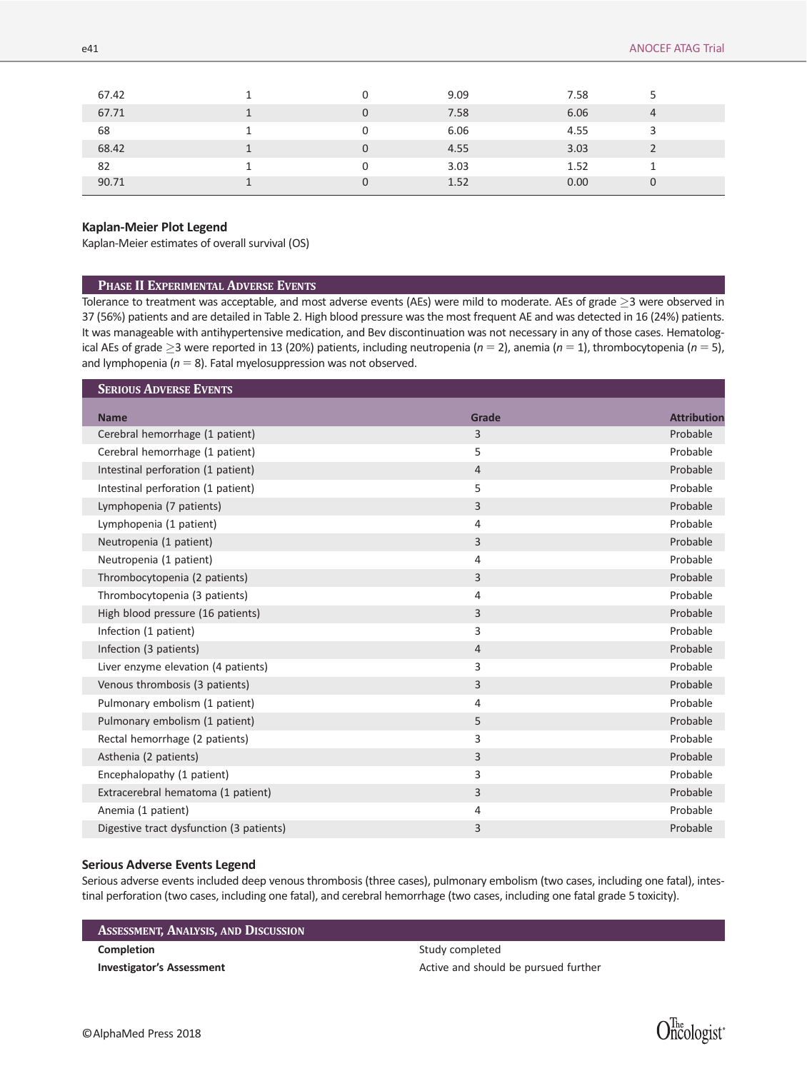| 67.42 | $\Omega$ | 9.09 | 7.58 |   |  |
|-------|----------|------|------|---|--|
| 67.71 | 0        | 7.58 | 6.06 | 4 |  |
| 68    | 0        | 6.06 | 4.55 | 3 |  |
| 68.42 | $\Omega$ | 4.55 | 3.03 |   |  |
| 82    | 0        | 3.03 | 1.52 |   |  |
| 90.71 | 0        | 1.52 | 0.00 | 0 |  |

### Kaplan-Meier Plot Legend

Kaplan-Meier estimates of overall survival (OS)

#### PHASE II EXPERIMENTAL ADVERSE EVENTS

Tolerance to treatment was acceptable, and most adverse events (AEs) were mild to moderate. AEs of grade  $\geq$ 3 were observed in 37 (56%) patients and are detailed in Table 2. High blood pressure was the most frequent AE and was detected in 16 (24%) patients. It was manageable with antihypertensive medication, and Bev discontinuation was not necessary in any of those cases. Hematological AEs of grade  $\geq$ 3 were reported in 13 (20%) patients, including neutropenia ( $n=2$ ), anemia ( $n=1$ ), thrombocytopenia ( $n=5$ ), and lymphopenia ( $n = 8$ ). Fatal myelosuppression was not observed.

| <b>SERIOUS ADVERSE EVENTS</b>            |                |                    |
|------------------------------------------|----------------|--------------------|
| <b>Name</b>                              | Grade          | <b>Attribution</b> |
| Cerebral hemorrhage (1 patient)          | 3              | Probable           |
| Cerebral hemorrhage (1 patient)          | 5              | Probable           |
| Intestinal perforation (1 patient)       | $\overline{4}$ | Probable           |
| Intestinal perforation (1 patient)       | 5              | Probable           |
| Lymphopenia (7 patients)                 | 3              | Probable           |
| Lymphopenia (1 patient)                  | $\overline{4}$ | Probable           |
| Neutropenia (1 patient)                  | 3              | Probable           |
| Neutropenia (1 patient)                  | $\overline{4}$ | Probable           |
| Thrombocytopenia (2 patients)            | 3              | Probable           |
| Thrombocytopenia (3 patients)            | $\overline{4}$ | Probable           |
| High blood pressure (16 patients)        | 3              | Probable           |
| Infection (1 patient)                    | 3              | Probable           |
| Infection (3 patients)                   | $\overline{4}$ | Probable           |
| Liver enzyme elevation (4 patients)      | 3              | Probable           |
| Venous thrombosis (3 patients)           | 3              | Probable           |
| Pulmonary embolism (1 patient)           | $\overline{4}$ | Probable           |
| Pulmonary embolism (1 patient)           | 5              | Probable           |
| Rectal hemorrhage (2 patients)           | 3              | Probable           |
| Asthenia (2 patients)                    | 3              | Probable           |
| Encephalopathy (1 patient)               | 3              | Probable           |
| Extracerebral hematoma (1 patient)       | 3              | Probable           |
| Anemia (1 patient)                       | $\overline{4}$ | Probable           |
| Digestive tract dysfunction (3 patients) | 3              | Probable           |

#### Serious Adverse Events Legend

Serious adverse events included deep venous thrombosis (three cases), pulmonary embolism (two cases, including one fatal), intestinal perforation (two cases, including one fatal), and cerebral hemorrhage (two cases, including one fatal grade 5 toxicity).

# ASSESSMENT, ANALYSIS, AND DISCUSSION

Completion Study completed

Investigator's Assessment **Active and should be pursued further**  $\overline{A}$ 

Oncologist\*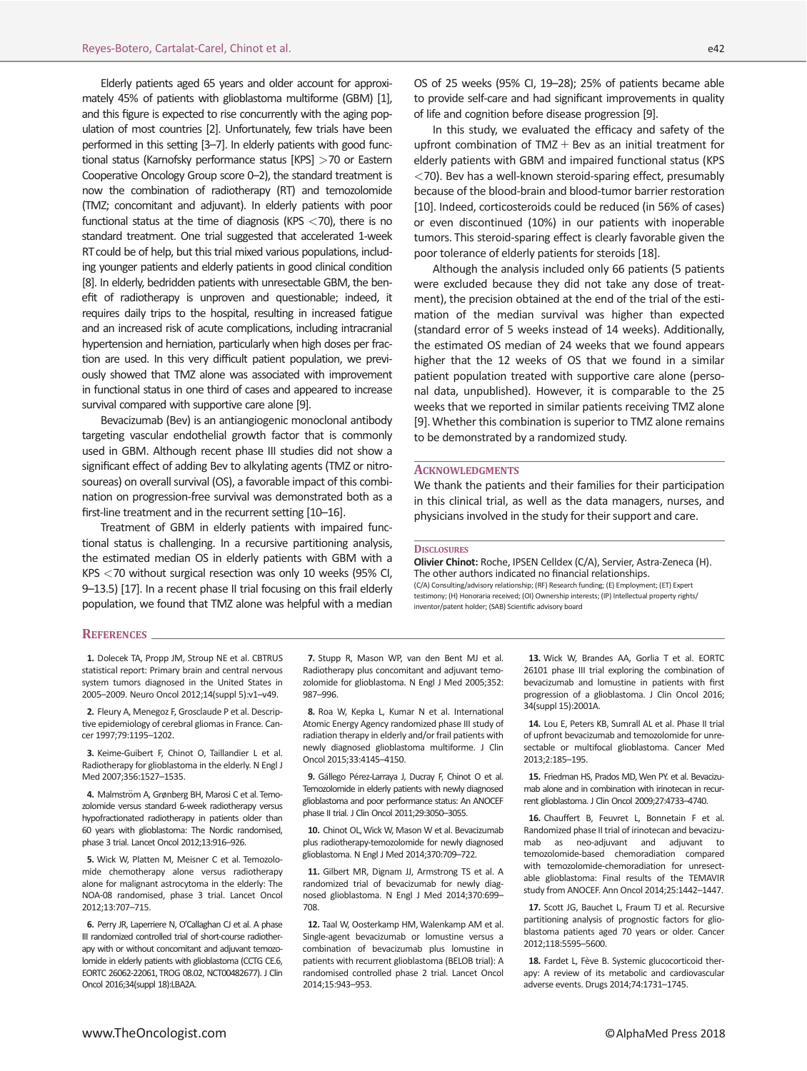Elderly patients aged 65 years and older account for approximately 45% of patients with glioblastoma multiforme (GBM) [1], and this figure is expected to rise concurrently with the aging population of most countries [2]. Unfortunately, few trials have been performed in this setting [3–7]. In elderly patients with good functional status (Karnofsky performance status [KPS] >70 or Eastern Cooperative Oncology Group score 0–2), the standard treatment is now the combination of radiotherapy (RT) and temozolomide (TMZ; concomitant and adjuvant). In elderly patients with poor functional status at the time of diagnosis (KPS  $<$  70), there is no standard treatment. One trial suggested that accelerated 1-week RT could be of help, but this trial mixed various populations, including younger patients and elderly patients in good clinical condition [8]. In elderly, bedridden patients with unresectable GBM, the benefit of radiotherapy is unproven and questionable; indeed, it requires daily trips to the hospital, resulting in increased fatigue and an increased risk of acute complications, including intracranial hypertension and herniation, particularly when high doses per fraction are used. In this very difficult patient population, we previously showed that TMZ alone was associated with improvement in functional status in one third of cases and appeared to increase survival compared with supportive care alone [9].

Bevacizumab (Bev) is an antiangiogenic monoclonal antibody targeting vascular endothelial growth factor that is commonly used in GBM. Although recent phase III studies did not show a significant effect of adding Bev to alkylating agents (TMZ or nitrosoureas) on overall survival (OS), a favorable impact of this combination on progression-free survival was demonstrated both as a first-line treatment and in the recurrent setting [10–16].

Treatment of GBM in elderly patients with impaired functional status is challenging. In a recursive partitioning analysis, the estimated median OS in elderly patients with GBM with a KPS <70 without surgical resection was only 10 weeks (95% CI, 9–13.5) [17]. In a recent phase II trial focusing on this frail elderly population, we found that TMZ alone was helpful with a median OS of 25 weeks (95% CI, 19–28); 25% of patients became able to provide self-care and had significant improvements in quality of life and cognition before disease progression [9].

In this study, we evaluated the efficacy and safety of the upfront combination of TMZ  $+$  Bev as an initial treatment for elderly patients with GBM and impaired functional status (KPS <70). Bev has a well-known steroid-sparing effect, presumably because of the blood-brain and blood-tumor barrier restoration [10]. Indeed, corticosteroids could be reduced (in 56% of cases) or even discontinued (10%) in our patients with inoperable tumors. This steroid-sparing effect is clearly favorable given the poor tolerance of elderly patients for steroids [18].

Although the analysis included only 66 patients (5 patients were excluded because they did not take any dose of treatment), the precision obtained at the end of the trial of the estimation of the median survival was higher than expected (standard error of 5 weeks instead of 14 weeks). Additionally, the estimated OS median of 24 weeks that we found appears higher that the 12 weeks of OS that we found in a similar patient population treated with supportive care alone (personal data, unpublished). However, it is comparable to the 25 weeks that we reported in similar patients receiving TMZ alone [9].Whether this combination is superior to TMZ alone remains to be demonstrated by a randomized study.

#### **ACKNOWLEDGMENTS**

We thank the patients and their families for their participation in this clinical trial, as well as the data managers, nurses, and physicians involved in the study for their support and care.

#### **DISCLOSURES**

Olivier Chinot: Roche, IPSEN Celldex (C/A), Servier, Astra-Zeneca (H). The other authors indicated no financial relationships. (C/A) Consulting/advisory relationship; (RF) Research funding; (E) Employment; (ET) Expert testimony; (H) Honoraria received; (OI) Ownership interests; (IP) Intellectual property rights/ inventor/patent holder; (SAB) Scientific advisory board

#### REFERENCES

1. Dolecek TA, Propp JM, Stroup NE et al. CBTRUS statistical report: Primary brain and central nervous system tumors diagnosed in the United States in 2005–2009. Neuro Oncol 2012;14(suppl 5):v1–v49.

2. Fleury A, Menegoz F, Grosclaude P et al. Descriptive epidemiology of cerebral gliomas in France. Cancer 1997;79:1195–1202.

3. Keime-Guibert F, Chinot O, Taillandier L et al. Radiotherapy for glioblastoma in the elderly. N Engl J Med 2007;356:1527–1535.

4. Malmström A, Grønberg BH, Marosi C et al. Temozolomide versus standard 6-week radiotherapy versus hypofractionated radiotherapy in patients older than 60 years with glioblastoma: The Nordic randomised, phase 3 trial. Lancet Oncol 2012;13:916–926.

5. Wick W, Platten M, Meisner C et al. Temozolomide chemotherapy alone versus radiotherapy alone for malignant astrocytoma in the elderly: The NOA-08 randomised, phase 3 trial. Lancet Oncol 2012;13:707–715.

6. Perry JR, Laperriere N, O'Callaghan CJ et al. A phase III randomized controlled trial of short-course radiotherapy with or without concomitant and adjuvant temozolomide in elderly patients with glioblastoma (CCTG CE.6, EORTC 26062-22061, TROG 08.02, NCT00482677). J Clin Oncol 2016;34(suppl 18):LBA2A.

7. Stupp R, Mason WP, van den Bent MJ et al. Radiotherapy plus concomitant and adjuvant temozolomide for glioblastoma. N Engl J Med 2005;352: 987–996.

8. Roa W, Kepka L, Kumar N et al. International Atomic Energy Agency randomized phase III study of radiation therapy in elderly and/or frail patients with newly diagnosed glioblastoma multiforme. J Clin Oncol 2015;33:4145–4150.

9. Gállego Pérez-Larraya J, Ducray F, Chinot O et al. Temozolomide in elderly patients with newly diagnosed glioblastoma and poor performance status: An ANOCEF phase II trial. J Clin Oncol 2011;29:3050–3055.

10. Chinot OL, Wick W, Mason W et al. Bevacizumab plus radiotherapy-temozolomide for newly diagnosed glioblastoma. N Engl J Med 2014;370:709–722.

11. Gilbert MR, Dignam JJ, Armstrong TS et al. A randomized trial of bevacizumab for newly diagnosed glioblastoma. N Engl J Med 2014;370:699– 708.

12. Taal W, Oosterkamp HM, Walenkamp AM et al. Single-agent bevacizumab or lomustine versus a combination of bevacizumab plus lomustine in patients with recurrent glioblastoma (BELOB trial): A randomised controlled phase 2 trial. Lancet Oncol 2014;15:943–953.

13. Wick W, Brandes AA, Gorlia T et al. EORTC 26101 phase III trial exploring the combination of bevacizumab and lomustine in patients with first progression of a glioblastoma. J Clin Oncol 2016; 34(suppl 15):2001A.

14. Lou E, Peters KB, Sumrall AL et al. Phase II trial of upfront bevacizumab and temozolomide for unresectable or multifocal glioblastoma. Cancer Med 2013;2:185–195.

15. Friedman HS, Prados MD, Wen PY. et al. Bevacizumab alone and in combination with irinotecan in recurrent glioblastoma. J Clin Oncol 2009;27:4733–4740.

16. Chauffert B, Feuvret L, Bonnetain F et al. Randomized phase II trial of irinotecan and bevacizumab as neo-adjuvant and adjuvant to temozolomide-based chemoradiation compared with temozolomide-chemoradiation for unresectable glioblastoma: Final results of the TEMAVIR study from ANOCEF. Ann Oncol 2014;25:1442–1447.

17. Scott JG, Bauchet L, Fraum TJ et al. Recursive partitioning analysis of prognostic factors for glioblastoma patients aged 70 years or older. Cancer 2012;118:5595–5600.

18. Fardet L, Fève B. Systemic glucocorticoid therapy: A review of its metabolic and cardiovascular adverse events. Drugs 2014;74:1731–1745.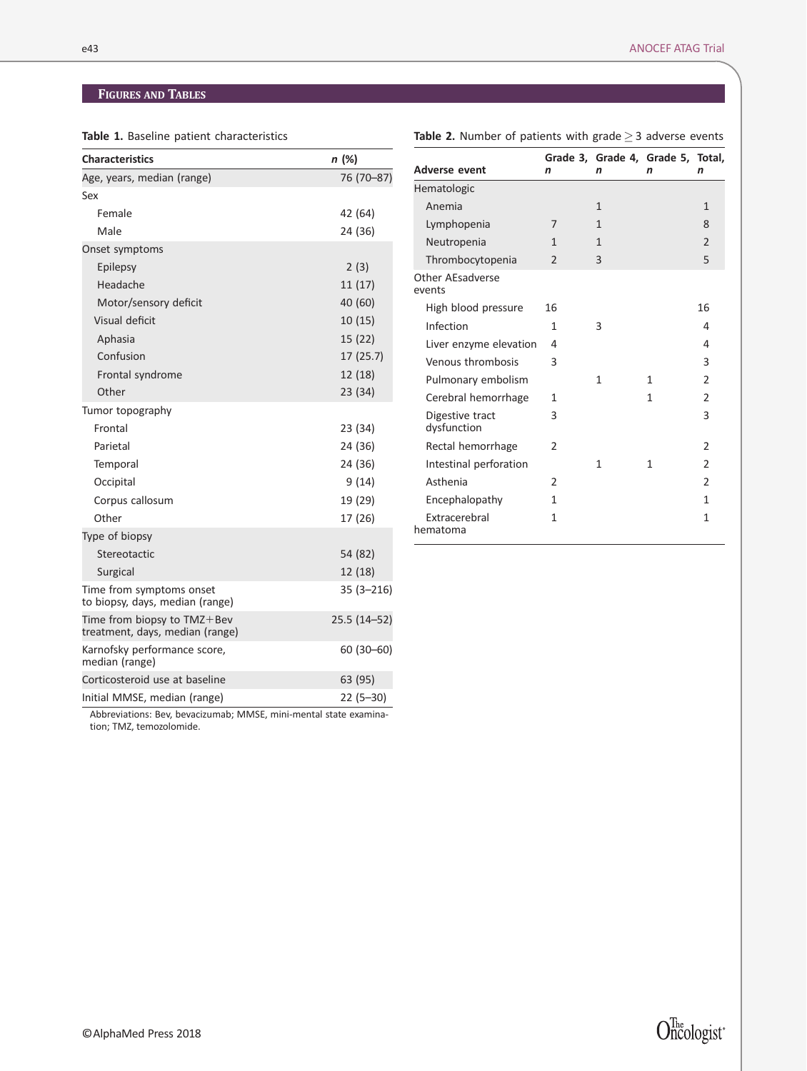Table 1. Baseline patient characteristics

| <b>Characteristics</b>                                             | n (%)         |
|--------------------------------------------------------------------|---------------|
| Age, years, median (range)                                         | 76 (70-87)    |
| Sex                                                                |               |
| Female                                                             | 42 (64)       |
| Male                                                               | 24 (36)       |
| Onset symptoms                                                     |               |
| Epilepsy                                                           | 2(3)          |
| Headache                                                           | 11(17)        |
| Motor/sensory deficit                                              | 40 (60)       |
| Visual deficit                                                     | 10(15)        |
| Aphasia                                                            | 15(22)        |
| Confusion                                                          | 17(25.7)      |
| Frontal syndrome                                                   | 12 (18)       |
| Other                                                              | 23 (34)       |
| Tumor topography                                                   |               |
| Frontal                                                            | 23 (34)       |
| Parietal                                                           | 24 (36)       |
| Temporal                                                           | 24 (36)       |
| Occipital                                                          | 9(14)         |
| Corpus callosum                                                    | 19 (29)       |
| Other                                                              | 17 (26)       |
| Type of biopsy                                                     |               |
| Stereotactic                                                       | 54 (82)       |
| Surgical                                                           | 12 (18)       |
| Time from symptoms onset<br>to biopsy, days, median (range)        | $35(3 - 216)$ |
| Time from biopsy to $TMZ + BeV$<br>treatment, days, median (range) | 25.5 (14-52)  |
| Karnofsky performance score,<br>median (range)                     | $60(30 - 60)$ |
| Corticosteroid use at baseline                                     | 63 (95)       |
| Initial MMSE, median (range)                                       | $22(5-30)$    |

Abbreviations: Bev, bevacizumab; MMSE, mini-mental state examination; TMZ, temozolomide.

 $O^{\mathrm{The}}_{ncologist^*}$ 

| <b>Table 2.</b> Number of patients with grade $\geq$ 3 adverse events |  |  |  |
|-----------------------------------------------------------------------|--|--|--|
|-----------------------------------------------------------------------|--|--|--|

| <b>Adverse event</b>           | n              | Grade 3, Grade 4, Grade 5, Total,<br>n | n | n              |
|--------------------------------|----------------|----------------------------------------|---|----------------|
| Hematologic                    |                |                                        |   |                |
| Anemia                         |                | $\mathbf{1}$                           |   | $\mathbf{1}$   |
| Lymphopenia                    | 7              | 1                                      |   | 8              |
| Neutropenia                    | 1              | 1                                      |   | $\overline{2}$ |
| Thrombocytopenia               | $\overline{2}$ | 3                                      |   | 5              |
| Other AEsadverse<br>events     |                |                                        |   |                |
| High blood pressure            | 16             |                                        |   | 16             |
| Infection                      | 1              | 3                                      |   | 4              |
| Liver enzyme elevation         | 4              |                                        |   | 4              |
| Venous thrombosis              | 3              |                                        |   | 3              |
| Pulmonary embolism             |                | $\mathbf{1}$                           | 1 | $\mathfrak{p}$ |
| Cerebral hemorrhage            | $\mathbf{1}$   |                                        | 1 | $\mathfrak{p}$ |
| Digestive tract<br>dysfunction | 3              |                                        |   | 3              |
| Rectal hemorrhage              | $\overline{2}$ |                                        |   | $\overline{2}$ |
| Intestinal perforation         |                | 1                                      | 1 | $\mathfrak{p}$ |
| Asthenia                       | 2              |                                        |   | $\mathfrak{p}$ |
| Encephalopathy                 | 1              |                                        |   | 1              |
| Extracerebral<br>hematoma      | $\mathbf{1}$   |                                        |   | $\mathbf{1}$   |